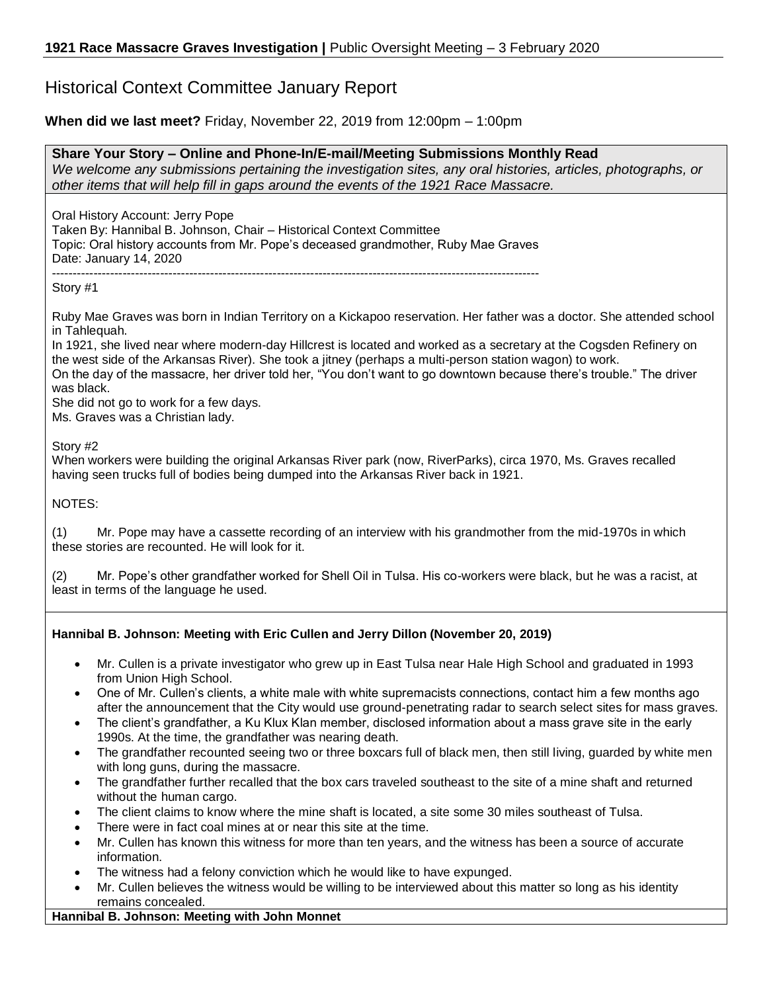# Historical Context Committee January Report

## **When did we last meet?** Friday, November 22, 2019 from 12:00pm – 1:00pm

**Share Your Story – Online and Phone-In/E-mail/Meeting Submissions Monthly Read** *We welcome any submissions pertaining the investigation sites, any oral histories, articles, photographs, or other items that will help fill in gaps around the events of the 1921 Race Massacre.*

Oral History Account: Jerry Pope Taken By: Hannibal B. Johnson, Chair – Historical Context Committee Topic: Oral history accounts from Mr. Pope's deceased grandmother, Ruby Mae Graves Date: January 14, 2020 ---------------------------------------------------------------------------------------------------------------------

Story #1

Ruby Mae Graves was born in Indian Territory on a Kickapoo reservation. Her father was a doctor. She attended school in Tahlequah.

In 1921, she lived near where modern-day Hillcrest is located and worked as a secretary at the Cogsden Refinery on the west side of the Arkansas River). She took a jitney (perhaps a multi-person station wagon) to work.

On the day of the massacre, her driver told her, "You don't want to go downtown because there's trouble." The driver was black.

She did not go to work for a few days.

Ms. Graves was a Christian lady.

Story #2

When workers were building the original Arkansas River park (now, RiverParks), circa 1970, Ms. Graves recalled having seen trucks full of bodies being dumped into the Arkansas River back in 1921.

NOTES:

(1) Mr. Pope may have a cassette recording of an interview with his grandmother from the mid-1970s in which these stories are recounted. He will look for it.

(2) Mr. Pope's other grandfather worked for Shell Oil in Tulsa. His co-workers were black, but he was a racist, at least in terms of the language he used.

## **Hannibal B. Johnson: Meeting with Eric Cullen and Jerry Dillon (November 20, 2019)**

- Mr. Cullen is a private investigator who grew up in East Tulsa near Hale High School and graduated in 1993 from Union High School.
- One of Mr. Cullen's clients, a white male with white supremacists connections, contact him a few months ago after the announcement that the City would use ground-penetrating radar to search select sites for mass graves.
- The client's grandfather, a Ku Klux Klan member, disclosed information about a mass grave site in the early 1990s. At the time, the grandfather was nearing death.
- The grandfather recounted seeing two or three boxcars full of black men, then still living, guarded by white men with long guns, during the massacre.
- The grandfather further recalled that the box cars traveled southeast to the site of a mine shaft and returned without the human cargo.
- The client claims to know where the mine shaft is located, a site some 30 miles southeast of Tulsa.
- There were in fact coal mines at or near this site at the time.
- Mr. Cullen has known this witness for more than ten years, and the witness has been a source of accurate information.
- The witness had a felony conviction which he would like to have expunged.
- Mr. Cullen believes the witness would be willing to be interviewed about this matter so long as his identity remains concealed.

#### **Hannibal B. Johnson: Meeting with John Monnet**